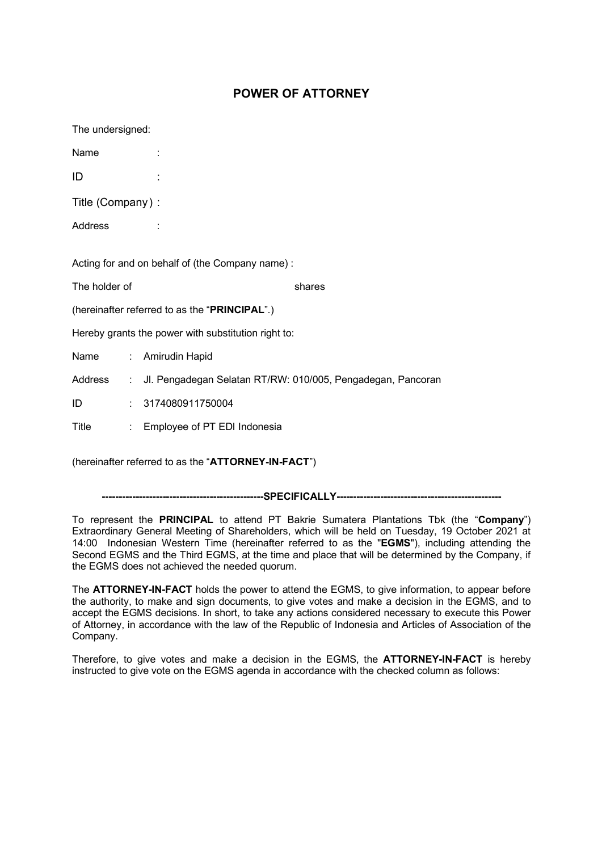## **POWER OF ATTORNEY**

The undersigned:

Name :

ID :

Title (Company) :

Address :

Acting for and on behalf of (the Company name) :

The holder of **Example 20** shares

(hereinafter referred to as the "**PRINCIPAL**".)

Hereby grants the power with substitution right to:

Name : Amirudin Hapid

Address : Jl. Pengadegan Selatan RT/RW: 010/005, Pengadegan, Pancoran

ID : 3174080911750004

Title : Employee of PT EDI Indonesia

(hereinafter referred to as the "**ATTORNEY-IN-FACT**")

**------------------------------------------------SPECIFICALLY-------------------------------------------------**

To represent the **PRINCIPAL** to attend PT Bakrie Sumatera Plantations Tbk (the "**Company**") Extraordinary General Meeting of Shareholders, which will be held on Tuesday, 19 October 2021 at 14:00 Indonesian Western Time (hereinafter referred to as the "**EGMS**"), including attending the Second EGMS and the Third EGMS, at the time and place that will be determined by the Company, if the EGMS does not achieved the needed quorum.

The **ATTORNEY-IN-FACT** holds the power to attend the EGMS, to give information, to appear before the authority, to make and sign documents, to give votes and make a decision in the EGMS, and to accept the EGMS decisions. In short, to take any actions considered necessary to execute this Power of Attorney, in accordance with the law of the Republic of Indonesia and Articles of Association of the Company.

Therefore, to give votes and make a decision in the EGMS, the **ATTORNEY-IN-FACT** is hereby instructed to give vote on the EGMS agenda in accordance with the checked column as follows: